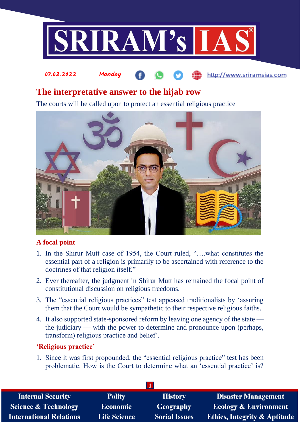

#### 07.02.2022 Monday http://www.sriramsias.com

# **The interpretative answer to the hijab row**

The courts will be called upon to protect an essential religious practice



## **A focal point**

- 1. In the Shirur Mutt case of 1954, the Court ruled, "….what constitutes the essential part of a religion is primarily to be ascertained with reference to the doctrines of that religion itself."
- 2. Ever thereafter, the judgment in Shirur Mutt has remained the focal point of constitutional discussion on religious freedoms.
- 3. The "essential religious practices" test appeased traditionalists by 'assuring them that the Court would be sympathetic to their respective religious faiths.
- 4. It also supported state-sponsored reform by leaving one agency of the state the judiciary — with the power to determine and pronounce upon (perhaps, transform) religious practice and belief'.

### **'Religious practice'**

1. Since it was first propounded, the "essential religious practice" test has been problematic. How is the Court to determine what an 'essential practice' is?

| <b>Internal Security</b>        | <b>Polity</b>       | <b>History</b>       | <b>Disaster Management</b>              |  |  |
|---------------------------------|---------------------|----------------------|-----------------------------------------|--|--|
| <b>Science &amp; Technology</b> | <b>Economic</b>     | Geography            | <b>Ecology &amp; Environment</b>        |  |  |
| <b>International Relations</b>  | <b>Life Science</b> | <b>Social Issues</b> | <b>Ethics, Integrity &amp; Aptitude</b> |  |  |